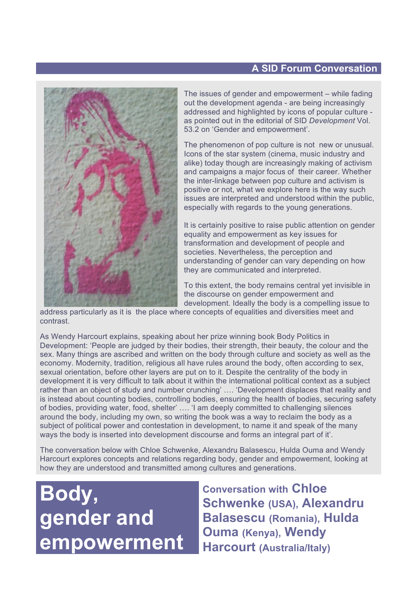# **A SID Forum Conversation**



The issues of gender and empowerment – while fading out the development agenda - are being increasingly addressed and highlighted by icons of popular culture as pointed out in the editorial of SID *Development* Vol. 53.2 on 'Gender and empowerment'.

The phenomenon of pop culture is not new or unusual. Icons of the star system (cinema, music industry and alike) today though are increasingly making of activism and campaigns a major focus of their career. Whether the inter-linkage between pop culture and activism is positive or not, what we explore here is the way such issues are interpreted and understood within the public, especially with regards to the young generations.

It is certainly positive to raise public attention on gender equality and empowerment as key issues for transformation and development of people and societies. Nevertheless, the perception and understanding of gender can vary depending on how they are communicated and interpreted.

To this extent, the body remains central yet invisible in the discourse on gender empowerment and development. Ideally the body is a compelling issue to

address particularly as it is the place where concepts of equalities and diversities meet and contrast.

As Wendy Harcourt explains, speaking about her prize winning book Body Politics in Development: 'People are judged by their bodies, their strength, their beauty, the colour and the sex. Many things are ascribed and written on the body through culture and society as well as the economy. Modernity, tradition, religious all have rules around the body, often according to sex, sexual orientation, before other layers are put on to it. Despite the centrality of the body in development it is very difficult to talk about it within the international political context as a subject rather than an object of study and number crunching' …. 'Development displaces that reality and is instead about counting bodies, controlling bodies, ensuring the health of bodies, securing safety of bodies, providing water, food, shelter' …. 'I am deeply committed to challenging silences around the body, including my own, so writing the book was a way to reclaim the body as a subject of political power and contestation in development, to name it and speak of the many ways the body is inserted into development discourse and forms an integral part of it'.

The conversation below with Chloe Schwenke, Alexandru Balasescu, Hulda Ouma and Wendy Harcourt explores concepts and relations regarding body, gender and empowerment, looking at how they are understood and transmitted among cultures and generations.

**Body, gender and empowerment**

**Conversation with Chloe Schwenke (USA), Alexandru Balasescu (Romania), Hulda Ouma (Kenya), Wendy Harcourt (Australia/Italy)**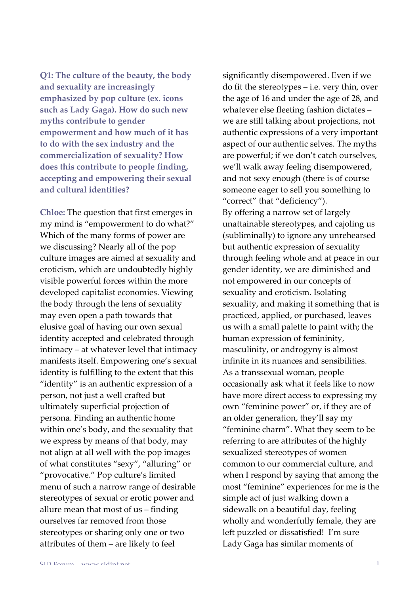Q1: The culture of the beauty, the body and sexuality are increasingly emphasized by pop culture (ex. icons such as Lady Gaga). How do such new myths contribute to gender empowerment and how much of it has to do with the sex industry and the commercialization of sexuality? How does this contribute to people finding, accepting and empowering their sexual and cultural identities?

Chloe: The question that first emerges in my mind is "empowerment to do what?" Which of the many forms of power are we discussing? Nearly all of the pop culture images are aimed at sexuality and eroticism, which are undoubtedly highly visible powerful forces within the more developed capitalist economies. Viewing the body through the lens of sexuality may even open a path towards that elusive goal of having our own sexual identity accepted and celebrated through intimacy – at whatever level that intimacy manifests itself. Empowering one's sexual identity is fulfilling to the extent that this "identity" is an authentic expression of a person, not just a well crafted but ultimately superficial projection of persona. Finding an authentic home within one's body, and the sexuality that we express by means of that body, may not align at all well with the pop images of what constitutes "sexy", "alluring" or "provocative." Pop culture's limited menu of such a narrow range of desirable stereotypes of sexual or erotic power and allure mean that most of us - finding ourselves far removed from those stereotypes or sharing only one or two attributes of them - are likely to feel

significantly disempowered. Even if we do fit the stereotypes - i.e. very thin, over the age of 16 and under the age of 28, and whatever else fleeting fashion dictates we are still talking about projections, not authentic expressions of a very important aspect of our authentic selves. The myths are powerful; if we don't catch ourselves, we'll walk away feeling disempowered, and not sexy enough (there is of course someone eager to sell you something to "correct" that "deficiency"). By offering a narrow set of largely unattainable stereotypes, and cajoling us (subliminally) to ignore any unrehearsed but authentic expression of sexuality through feeling whole and at peace in our gender identity, we are diminished and not empowered in our concepts of sexuality and eroticism. Isolating sexuality, and making it something that is practiced, applied, or purchased, leaves us with a small palette to paint with; the human expression of femininity, masculinity, or androgyny is almost infinite in its nuances and sensibilities. As a transsexual woman, people occasionally ask what it feels like to now have more direct access to expressing my own "feminine power" or, if they are of an older generation, they'll say my "feminine charm". What they seem to be referring to are attributes of the highly sexualized stereotypes of women common to our commercial culture, and when I respond by saying that among the most "feminine" experiences for me is the simple act of just walking down a sidewalk on a beautiful day, feeling wholly and wonderfully female, they are left puzzled or dissatisfied! I'm sure Lady Gaga has similar moments of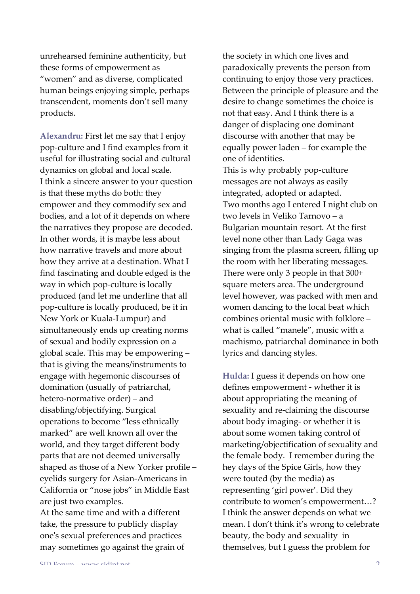unrehearsed feminine authenticity, but these forms of empowerment as "women" and as diverse, complicated human beings enjoying simple, perhaps transcendent, moments don't sell many products.

Alexandru: First let me say that I enjoy pop-culture and I find examples from it useful for illustrating social and cultural dynamics on global and local scale. I think a sincere answer to your question is that these myths do both: they empower and they commodify sex and bodies, and a lot of it depends on where the narratives they propose are decoded. In other words, it is maybe less about how narrative travels and more about how they arrive at a destination. What I find fascinating and double edged is the way in which pop-culture is locally produced (and let me underline that all pop-culture is locally produced, be it in New York or Kuala-Lumpur) and simultaneously ends up creating norms of sexual and bodily expression on a global scale. This may be empowering – that is giving the means/instruments to engage with hegemonic discourses of domination (usually of patriarchal, hetero-normative order) – and disabling/objectifying. Surgical operations to become "less ethnically marked" are well known all over the world, and they target different body parts that are not deemed universally shaped as those of a New Yorker profile – eyelids surgery for Asian-Americans in California or "nose jobs" in Middle East are just two examples.

At the same time and with a different take, the pressure to publicly display one's sexual preferences and practices may sometimes go against the grain of the society in which one lives and paradoxically prevents the person from continuing to enjoy those very practices. Between the principle of pleasure and the desire to change sometimes the choice is not that easy. And I think there is a danger of displacing one dominant discourse with another that may be equally power laden – for example the one of identities.

This is why probably pop-culture messages are not always as easily integrated, adopted or adapted. Two months ago I entered I night club on two levels in Veliko Tarnovo – a Bulgarian mountain resort. At the first level none other than Lady Gaga was singing from the plasma screen, filling up the room with her liberating messages. There were only 3 people in that 300+ square meters area. The underground level however, was packed with men and women dancing to the local beat which combines oriental music with folklore – what is called "manele", music with a machismo, patriarchal dominance in both lyrics and dancing styles.

**Hulda:** I guess it depends on how one defines empowerment - whether it is about appropriating the meaning of sexuality and re-claiming the discourse about body imaging- or whether it is about some women taking control of marketing/objectification of sexuality and the female body. I remember during the hey days of the Spice Girls, how they were touted (by the media) as representing 'girl power'. Did they contribute to women's empowerment...? I think the answer depends on what we mean. I don't think it's wrong to celebrate beauty, the body and sexuality in themselves, but I guess the problem for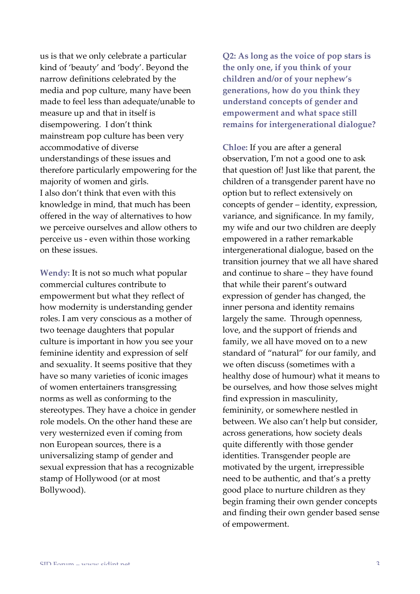us is that we only celebrate a particular kind of 'beauty' and 'body'. Beyond the narrow definitions celebrated by the media and pop culture, many have been made to feel less than adequate/unable to measure up and that in itself is disempowering. I don't think mainstream pop culture has been very accommodative of diverse understandings of these issues and therefore particularly empowering for the majority of women and girls. I also don't think that even with this knowledge in mind, that much has been offered in the way of alternatives to how we perceive ourselves and allow others to perceive us - even within those working on these issues.

**Wendy:** It is not so much what popular commercial cultures contribute to empowerment but what they reflect of how modernity is understanding gender roles. I am very conscious as a mother of two teenage daughters that popular culture is important in how you see your feminine identity and expression of self and sexuality. It seems positive that they have so many varieties of iconic images of women entertainers transgressing norms as well as conforming to the stereotypes. They have a choice in gender role models. On the other hand these are very westernized even if coming from non European sources, there is a universalizing stamp of gender and sexual expression that has a recognizable stamp of Hollywood (or at most Bollywood).

**Q2:** As long as the voice of pop stars is the only one, if you think of your **children'and/or'of'your'nephew's'** generations, how do you think they **understand'concepts'of'gender'and'** empowerment and what space still **remains'for'intergenerational'dialogue?**

**Chloe:** If you are after a general observation, I'm not a good one to ask that question of! Just like that parent, the children of a transgender parent have no option but to reflect extensively on concepts of gender – identity, expression, variance, and significance. In my family, my wife and our two children are deeply empowered in a rather remarkable intergenerational dialogue, based on the transition journey that we all have shared and continue to share – they have found that while their parent's outward expression of gender has changed, the inner persona and identity remains largely the same. Through openness, love, and the support of friends and family, we all have moved on to a new standard of "natural" for our family, and we often discuss (sometimes with a healthy dose of humour) what it means to be ourselves, and how those selves might find expression in masculinity, femininity, or somewhere nestled in between. We also can't help but consider, across generations, how society deals quite differently with those gender identities. Transgender people are motivated by the urgent, irrepressible need to be authentic, and that's a pretty good place to nurture children as they begin framing their own gender concepts and finding their own gender based sense of empowerment.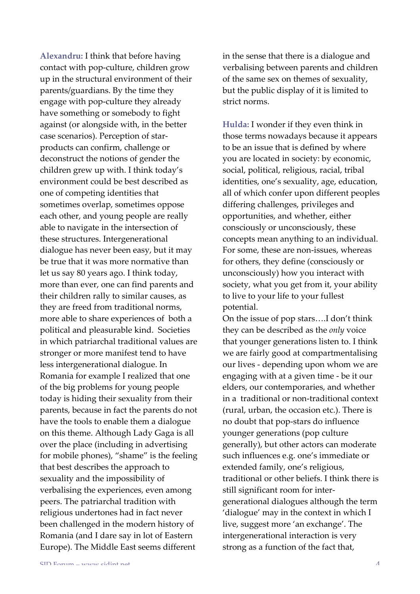**Alexandru:** I think that before having contact with pop-culture, children grow up in the structural environment of their  $parents/guardians. By the time they$ engage with pop-culture they already have something or somebody to fight against (or alongside with, in the better case scenarios). Perception of starproducts can confirm, challenge or deconstruct the notions of gender the children grew up with. I think today's environment could be best described as one of competing identities that sometimes overlap, sometimes oppose each other, and young people are really able to navigate in the intersection of these structures. Intergenerational dialogue has never been easy, but it may be true that it was more normative than let us say 80 years ago. I think today, more than ever, one can find parents and their children rally to similar causes, as they are freed from traditional norms, more able to share experiences of both a political and pleasurable kind. Societies in which patriarchal traditional values are stronger or more manifest tend to have less intergenerational dialogue. In Romania for example I realized that one of the big problems for young people today is hiding their sexuality from their parents, because in fact the parents do not have the tools to enable them a dialogue on this theme. Although Lady Gaga is all over the place (including in advertising for mobile phones), "shame" is the feeling that best describes the approach to sexuality and the impossibility of verbalising the experiences, even among peers. The patriarchal tradition with religious undertones had in fact never been challenged in the modern history of Romania (and I dare say in lot of Eastern Europe). The Middle East seems different

in the sense that there is a dialogue and verbalising between parents and children of the same sex on themes of sexuality, but the public display of it is limited to strict norms.

**Hulda:** I wonder if they even think in those terms nowadays because it appears to be an issue that is defined by where you are located in society: by economic, social, political, religious, racial, tribal identities, one's sexuality, age, education, all of which confer upon different peoples differing challenges, privileges and opportunities, and whether, either consciously or unconsciously, these concepts mean anything to an individual. For some, these are non-issues, whereas for others, they define (consciously or unconsciously) how you interact with society, what you get from it, your ability to live to your life to your fullest potential.

On the issue of pop stars....I don't think they can be described as the *only* voice that younger generations listen to. I think we are fairly good at compartmentalising our lives - depending upon whom we are engaging with at a given time - be it our elders, our contemporaries, and whether in a traditional or non-traditional context (rural, urban, the occasion etc.). There is no doubt that pop-stars do influence younger generations (pop culture generally), but other actors can moderate such influences e.g. one's immediate or extended family, one's religious, traditional or other beliefs. I think there is still significant room for intergenerational dialogues although the term 'dialogue' may in the context in which I live, suggest more 'an exchange'. The intergenerational interaction is very strong as a function of the fact that,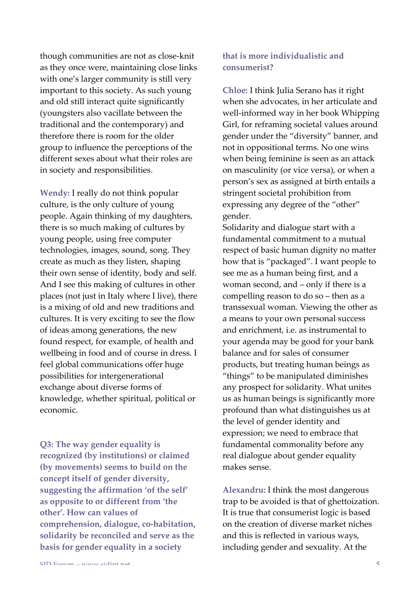though communities are not as close-knit as they once were, maintaining close links with one's larger community is still very important to this society. As such young and old still interact quite significantly (youngsters also vacillate between the traditional and the contemporary) and therefore there is room for the older group to influence the perceptions of the different sexes about what their roles are in society and responsibilities.

**Wendy:** I really do not think popular culture, is the only culture of young people. Again thinking of my daughters, there is so much making of cultures by young people, using free computer technologies, images, sound, song. They create as much as they listen, shaping their own sense of identity, body and self. And I see this making of cultures in other places (not just in Italy where I live), there is a mixing of old and new traditions and cultures. It is very exciting to see the flow of ideas among generations, the new found respect, for example, of health and wellbeing in food and of course in dress. I feel global communications offer huge possibilities for intergenerational exchange about diverse forms of knowledge, whether spiritual, political or economic.

**Q3:** The way gender equality is recognized (by institutions) or claimed (by movements) seems to build on the concept itself of gender diversity, suggesting the affirmation 'of the self' as opposite to or different from 'the other'. How can values of comprehension, dialogue, co-habitation, solidarity be reconciled and serve as the basis for gender equality in a society

## **that'is'more individualistic'and' consumerist?**

**Chloe:** I think Julia Serano has it right when she advocates, in her articulate and well-informed way in her book Whipping Girl, for reframing societal values around gender under the "diversity" banner, and not in oppositional terms. No one wins when being feminine is seen as an attack on masculinity (or vice versa), or when a person's sex as assigned at birth entails a stringent societal prohibition from expressing any degree of the "other" gender.

Solidarity and dialogue start with a fundamental commitment to a mutual respect of basic human dignity no matter how that is "packaged". I want people to see me as a human being first, and a woman second, and  $-$  only if there is a compelling reason to do  $so$  – then as a transsexual woman. Viewing the other as a means to your own personal success and enrichment, i.e. as instrumental to your agenda may be good for your bank balance and for sales of consumer products, but treating human beings as "things" to be manipulated diminishes any prospect for solidarity. What unites us as human beings is significantly more profound than what distinguishes us at the level of gender identity and expression; we need to embrace that fundamental commonality before any real dialogue about gender equality makes sense.

Alexandru: I think the most dangerous trap to be avoided is that of ghettoization. It is true that consumerist logic is based on the creation of diverse market niches and this is reflected in various ways, including gender and sexuality. At the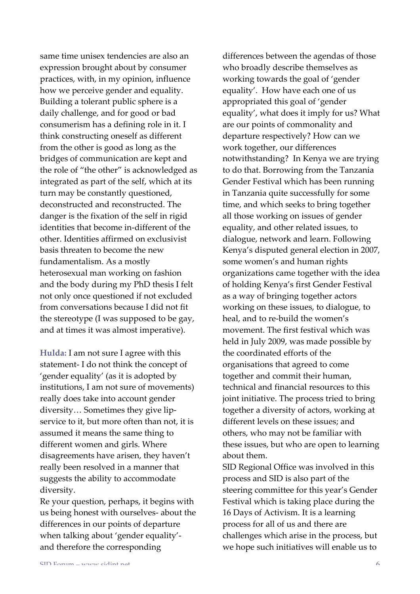same time unisex tendencies are also an expression brought about by consumer practices, with, in my opinion, influence how we perceive gender and equality. Building a tolerant public sphere is a daily challenge, and for good or bad consumerism has a defining role in it. I think constructing oneself as different from the other is good as long as the bridges of communication are kept and the role of "the other" is acknowledged as integrated as part of the self, which at its turn may be constantly questioned, deconstructed and reconstructed. The danger is the fixation of the self in rigid identities that become in-different of the other. Identities affirmed on exclusivist basis threaten to become the new fundamentalism. As a mostly heterosexual man working on fashion and the body during my PhD thesis I felt not only once questioned if not excluded from conversations because I did not fit the stereotype (I was supposed to be gay, and at times it was almost imperative).

Hulda: I am not sure I agree with this statement- I do not think the concept of 'gender equality' (as it is adopted by institutions, I am not sure of movements) really does take into account gender diversity... Sometimes they give lipservice to it, but more often than not, it is assumed it means the same thing to different women and girls. Where disagreements have arisen, they haven't really been resolved in a manner that suggests the ability to accommodate diversity.

Re your question, perhaps, it begins with us being honest with ourselves-about the differences in our points of departure when talking about 'gender equality'and therefore the corresponding

differences between the agendas of those who broadly describe themselves as working towards the goal of 'gender equality'. How have each one of us appropriated this goal of 'gender equality', what does it imply for us? What are our points of commonality and departure respectively? How can we work together, our differences notwithstanding? In Kenya we are trying to do that. Borrowing from the Tanzania Gender Festival which has been running in Tanzania quite successfully for some time, and which seeks to bring together all those working on issues of gender equality, and other related issues, to dialogue, network and learn. Following Kenya's disputed general election in 2007, some women's and human rights organizations came together with the idea of holding Kenya's first Gender Festival as a way of bringing together actors working on these issues, to dialogue, to heal, and to re-build the women's movement. The first festival which was held in July 2009, was made possible by the coordinated efforts of the organisations that agreed to come together and commit their human, technical and financial resources to this joint initiative. The process tried to bring together a diversity of actors, working at different levels on these issues; and others, who may not be familiar with these issues, but who are open to learning about them.

SID Regional Office was involved in this process and SID is also part of the steering committee for this year's Gender Festival which is taking place during the 16 Days of Activism. It is a learning process for all of us and there are challenges which arise in the process, but we hope such initiatives will enable us to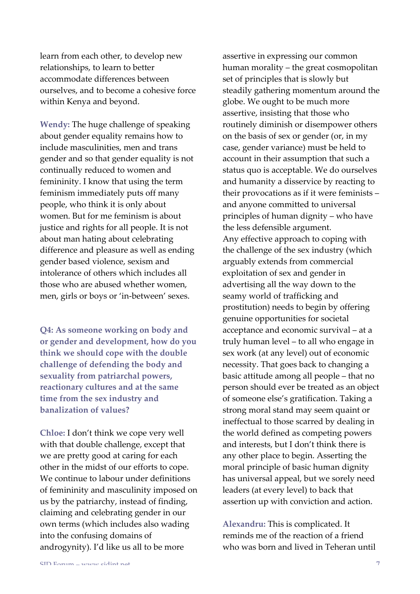learn from each other, to develop new relationships, to learn to better accommodate differences between ourselves, and to become a cohesive force within Kenya and beyond.

**Wendy:** The huge challenge of speaking about gender equality remains how to include masculinities, men and trans gender and so that gender equality is not continually reduced to women and femininity. I know that using the term feminism immediately puts off many people, who think it is only about women. But for me feminism is about justice and rights for all people. It is not about man hating about celebrating difference and pleasure as well as ending gender based violence, sexism and intolerance of others which includes all those who are abused whether women, men, girls or boys or 'in-between' sexes.

**Q4: As someone working on body and** or gender and development, how do you think we should cope with the double **challenge'of'defending'the'body'and'** sexuality from patriarchal powers, reactionary cultures and at the same time from the sex industry and **banalization** of values?

**Chloe:** I don't think we cope very well with that double challenge, except that we are pretty good at caring for each other in the midst of our efforts to cope. We continue to labour under definitions of femininity and masculinity imposed on us by the patriarchy, instead of finding, claiming and celebrating gender in our own terms (which includes also wading into the confusing domains of androgynity). I'd like us all to be more

assertive in expressing our common human morality – the great cosmopolitan set of principles that is slowly but steadily gathering momentum around the globe. We ought to be much more assertive, insisting that those who routinely diminish or disempower others on the basis of sex or gender (or, in my case, gender variance) must be held to account in their assumption that such a status quo is acceptable. We do ourselves and humanity a disservice by reacting to their provocations as if it were feminists – and anyone committed to universal principles of human dignity – who have the less defensible argument. Any effective approach to coping with the challenge of the sex industry (which arguably extends from commercial exploitation of sex and gender in advertising all the way down to the seamy world of trafficking and prostitution) needs to begin by offering genuine opportunities for societal acceptance and economic survival – at a truly human level – to all who engage in sex work (at any level) out of economic necessity. That goes back to changing a basic attitude among all people – that no person should ever be treated as an object of someone else's gratification. Taking a strong moral stand may seem quaint or ineffectual to those scarred by dealing in the world defined as competing powers and interests, but I don't think there is any other place to begin. Asserting the moral principle of basic human dignity has universal appeal, but we sorely need leaders (at every level) to back that assertion up with conviction and action.

Alexandru: This is complicated. It reminds me of the reaction of a friend who was born and lived in Teheran until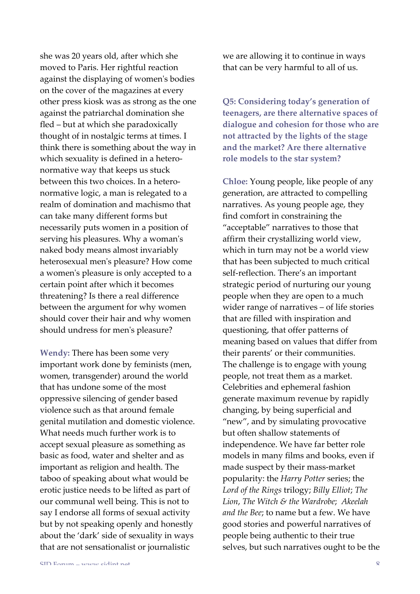she was 20 years old, after which she moved to Paris. Her rightful reaction against the displaying of women's bodies on the cover of the magazines at every other press kiosk was as strong as the one against the patriarchal domination she fled – but at which she paradoxically thought of in nostalgic terms at times. I think there is something about the way in which sexuality is defined in a heteronormative way that keeps us stuck between this two choices. In a heteronormative logic, a man is relegated to a realm of domination and machismo that can take many different forms but necessarily puts women in a position of serving his pleasures. Why a woman's naked body means almost invariably heterosexual men's pleasure? How come a women's pleasure is only accepted to a certain point after which it becomes threatening? Is there a real difference between the argument for why women should cover their hair and why women should undress for men's pleasure?

**Wendy:** There has been some very important work done by feminists (men, women, transgender) around the world that has undone some of the most oppressive silencing of gender based violence such as that around female genital mutilation and domestic violence. What needs much further work is to accept sexual pleasure as something as basic as food, water and shelter and as important as religion and health. The taboo of speaking about what would be erotic justice needs to be lifted as part of our communal well being. This is not to say I endorse all forms of sexual activity but by not speaking openly and honestly about the 'dark' side of sexuality in ways that are not sensationalist or journalistic

we are allowing it to continue in ways that can be very harmful to all of us.

**Q5: Considering today's generation of** teenagers, are there alternative spaces of **dialogue'and'cohesion'for'those'who'are' not'attracted'by'the'lights'of'the'stage'** and the market? Are there alternative role models to the star system?

**Chloe:** Young people, like people of any generation, are attracted to compelling narratives. As young people age, they find comfort in constraining the "acceptable" narratives to those that affirm their crystallizing world view, which in turn may not be a world view that has been subjected to much critical self-reflection. There's an important strategic period of nurturing our young people when they are open to a much wider range of narratives – of life stories that are filled with inspiration and questioning, that offer patterns of meaning based on values that differ from their parents' or their communities. The challenge is to engage with young people, not treat them as a market. Celebrities and ephemeral fashion generate maximum revenue by rapidly changing, by being superficial and "new", and by simulating provocative but often shallow statements of independence. We have far better role models in many films and books, even if made suspect by their mass-market popularity: the *Harry Potter* series; the Lord of the Rings trilogy; *Billy Elliot*; *The Lion*,!*The%Witch%&%the%Wardrobe*; *Akeelah%* and the Bee; to name but a few. We have good stories and powerful narratives of people being authentic to their true selves, but such narratives ought to be the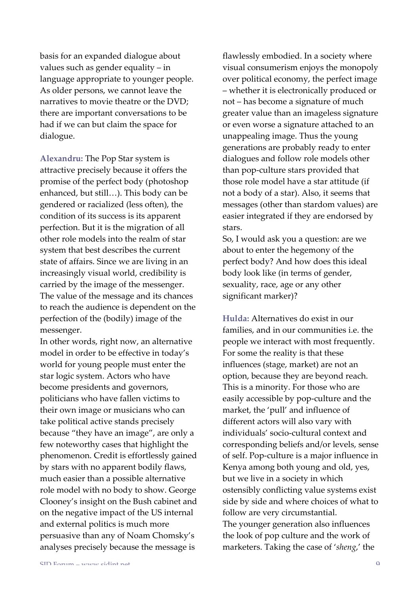basis for an expanded dialogue about values such as gender equality – in language appropriate to younger people. As older persons, we cannot leave the narratives to movie theatre or the DVD; there are important conversations to be had if we can but claim the space for dialogue.

**Alexandru:** The Pop Star system is attractive precisely because it offers the promise of the perfect body (photoshop) enhanced, but still...). This body can be gendered or racialized (less often), the condition of its success is its apparent perfection. But it is the migration of all other role models into the realm of star system that best describes the current state of affairs. Since we are living in an increasingly visual world, credibility is carried by the image of the messenger. The value of the message and its chances to reach the audience is dependent on the perfection of the (bodily) image of the messenger.

In other words, right now, an alternative model in order to be effective in today's world for young people must enter the star logic system. Actors who have become presidents and governors, politicians who have fallen victims to their own image or musicians who can take political active stands precisely because "they have an image", are only a few noteworthy cases that highlight the phenomenon. Credit is effortlessly gained by stars with no apparent bodily flaws, much easier than a possible alternative role model with no body to show. George Clooney's insight on the Bush cabinet and on the negative impact of the US internal and external politics is much more persuasive than any of Noam Chomsky's analyses precisely because the message is

flawlessly embodied. In a society where visual consumerism enjoys the monopoly over political economy, the perfect image – whether it is electronically produced or not – has become a signature of much greater value than an imageless signature or even worse a signature attached to an unappealing image. Thus the young generations are probably ready to enter dialogues and follow role models other than pop-culture stars provided that those role model have a star attitude (if not a body of a star). Also, it seems that messages (other than stardom values) are easier integrated if they are endorsed by stars.

So, I would ask you a question: are we about to enter the hegemony of the perfect body? And how does this ideal body look like (in terms of gender, sexuality, race, age or any other significant marker)?

**Hulda:** Alternatives do exist in our families, and in our communities i.e. the people we interact with most frequently. For some the reality is that these influences (stage, market) are not an option, because they are beyond reach. This is a minority. For those who are easily accessible by pop-culture and the market, the 'pull' and influence of different actors will also vary with individuals' socio-cultural context and corresponding beliefs and/or levels, sense of self. Pop-culture is a major influence in Kenya among both young and old, yes, but we live in a society in which ostensibly conflicting value systems exist side by side and where choices of what to follow are very circumstantial. The younger generation also influences the look of pop culture and the work of marketers. Taking the case of 'sheng,' the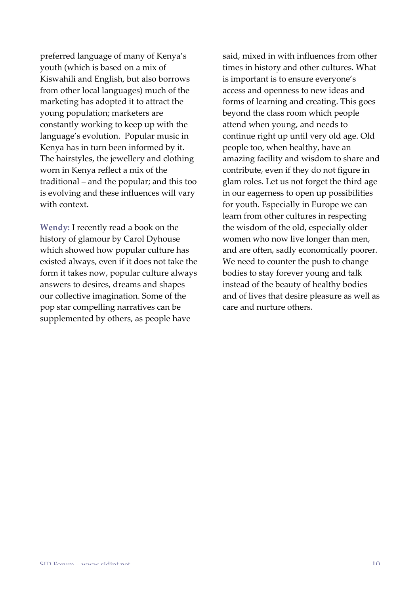preferred language of many of Kenya's youth (which is based on a mix of Kiswahili and English, but also borrows from other local languages) much of the marketing has adopted it to attract the young population; marketers are constantly working to keep up with the language's evolution. Popular music in Kenya has in turn been informed by it. The hairstyles, the jewellery and clothing worn in Kenya reflect a mix of the traditional – and the popular; and this too is evolving and these influences will vary with context.

**Wendy:** I recently read a book on the history of glamour by Carol Dyhouse which showed how popular culture has existed always, even if it does not take the form it takes now, popular culture always answers to desires, dreams and shapes our collective imagination. Some of the pop star compelling narratives can be supplemented by others, as people have

said, mixed in with influences from other times in history and other cultures. What is important is to ensure everyone's access and openness to new ideas and forms of learning and creating. This goes beyond the class room which people attend when young, and needs to continue right up until very old age. Old people too, when healthy, have an amazing facility and wisdom to share and contribute, even if they do not figure in glam roles. Let us not forget the third age in our eagerness to open up possibilities for youth. Especially in Europe we can learn from other cultures in respecting the wisdom of the old, especially older women who now live longer than men, and are often, sadly economically poorer. We need to counter the push to change bodies to stay forever young and talk instead of the beauty of healthy bodies and of lives that desire pleasure as well as care and nurture others.